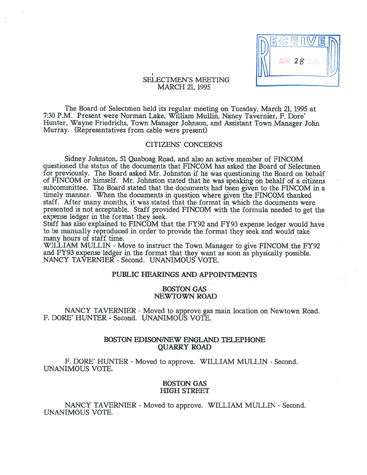| I | 图  |  |
|---|----|--|
|   | 28 |  |
|   |    |  |

# SELECTMEN'S MEETING MARCH 21, 1995

The Board of Selectmen held its regular meeting on Tuesday, March 21, 1995 at 7:30 P.M. Present were Norman Lake, William Mullin, Nancy Tavernier, F. Dore' Hunter, Wayne Friedrichs, Town Manager Johnson, and Assistant Town Manager John Murray. {Representatives from cable were present}

### CITIZENS' CONCERNS

Sidney Johnston, 51 Quaboag Road, and also an active member of FINCOM questioned the status of the documents that FINCOM has asked the Board of Selectmen for previously. The Board asked Mr. Johnston if he was questioning the Board on behalf of FINCOM or himself. Mr. Johnston stated that he was speaking on behalf of <sup>a</sup> citizens subcommittee. The Board stated that the documents had been <sup>g</sup>iven to the FINCOM in <sup>a</sup> timely manner. When the documents in question where <sup>g</sup>iven the FINCOM thanked staff. After many months, it was stated that the format in which the documents were presented is not acceptable. Staff provided FINCOM with the formula needed to ge<sup>t</sup> the expense ledger in the format they seek.

Staff has also explained to FINCOM that the FY92 and FY93 expense ledger would have to be manually reproduced in order to provide the format they seek and would take many hours of staff time.

WILLIAM MULLIN - Move to instruct the Town Manager to give FINCOM the FY92 and FY93 expense ledger in the format that they want as soon as <sup>p</sup>hysically possible. NANCY TAVERNIER - Second. UNANIMOUS VOTE.

# PUBLIC HEARINGS AND APPOINTMENTS

### BOSTON GAS NEWTOWN ROAD

NANCY TAVERNIER - Moved to approve gas main location on Newtown Road. F. DORE' HUNTER - Second. UNANIMOUS VOTE.

# BOSTON EDISONINEW ENGLAND TELEPHONE QUARRY ROAD

F. DORE' HUNTER - Moved to approve. WILLIAM MULLIN - Second. UNANIMOUS VOTE.

## BOSTON GAS HIGH STREET

NANCY TAVERNIER - Moved to approve. WILLIAM MULLIN - Second. UNANIMOUS VOTE.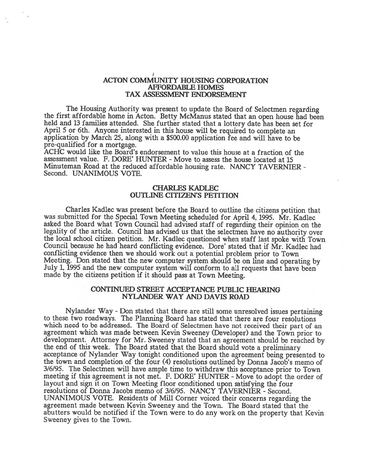# ACTON COMMUNITY HOUSING CORPORATION AFFORDABLE HOMES TAX ASSESSMENT ENDORSEMENT

The Housing Authority was presen<sup>t</sup> to update the Board of Selectmen regarding the first affordable home in Acton. Betty McManus stated that an open house had been held and <sup>13</sup> families attended. She further stated that held and 13 families attended. She further stated that a lottery date has been set for<br>April 5 or 6th. Anyone interested in this house will be required to complete an application by March 25, along with <sup>a</sup> \$500.00 application fee and will have to be pre-qualified for a mortgage.

ACHC would like the Board's endorsement to value this house at <sup>a</sup> fraction of the assessment value. F. DORE' HUNTER - Move to assess the house located at 15 Minuteman Road at the reduced affordable housing rate. NANCY TAVERNIER - Second. UNANIMOUS VOTE.

# CHARLES KADLEC OUTLINE CITIZEN'S PETITION

Charles Kadlec was present before the Board to outline the citizens petition that was submitted for the Special Town Meeting scheduled for April 4, 1995. Mr. Kadlec asked the Board what Town Council had advised staff of regarding their opinion on the legality of the article. Council has advised us that the selectmen have no authority over the local school citizen petition. Mr. Kadlec conflicting evidence then we should work out <sup>a</sup> potential problem prior to Town Meeting. Don stated that the new computer system should be on line and operating by July 1, 1995 and the new computer system will conform to all requests that have been made by the citizens petition if it should pass at Town Meeting.

# CONTINUED STREET ACCEPTANCE PUBLIC HEARING NYLANDER WAY AND DAVIS ROAD

Nylander Way -Don stated that there are still some unresolved issues pertaining to these two roadways. The Planning Board has stated that there are four resolutions which need to be addressed. The Board of Selectmen have not received their par<sup>t</sup> of an agreemen<sup>t</sup> which was made between Kevin Sweeney (Developer) and the Town prior to development. Attorney for Mr. Sweeney stated that an agreement should be reached by the end of this week. The Board stated that the Board should vote a preliminary acceptance of Nylander Way tonight conditioned upon the agreemen<sup>t</sup> being presented to the town and completion of the four (4) resolutions outlined by Donna Jacob's memo of 316/95. The Selectmen will have ample time to withdraw this acceptance prior to Town meeting if this agreement is not met. F. DORE' HUNTER - Move to adopt the order of layout and sign it on Town Meeting floor conditioned upon satisfying the four resolutions of Donna Jacobs memo of 3/6/95. NANCY TAVERNIER - Second. UNANIMOUS VOTE. Residents of Mill Corner voiced their concerns regarding the agreemen<sup>t</sup> made between Kevin Sweeney and the Town. The Board stated that the abutters would be notified if the Town were to do any work on the property that Kevin Sweeney gives to the Town.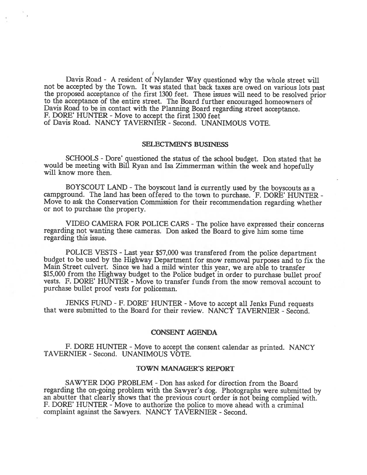Davis Road - A resident of Nylander Way questioned why the whole street will not be accepted by the Town. It was stated that back taxes are owed on various lots past the proposed acceptance of the first 1300 feet. These issues will need to be resolved prior to the acceptance of the entire street. The Board further encourage<sup>d</sup> homeowners of Davis Road to be in contact with the Planning Board regarding street acceptance. F. DORE' HUNTER - Move to accept the first 1300 feet of Davis Road. NANCY TAVERNIER -Second. UNANIMOUS VOTE.

### SELECTMEN'S BUSINESS

SCHOOLS - Dore' questioned the status of the school budget. Don stated that he would be meeting with Bill Ryan and Isa Zimmerman within the week and hopefully will know more then.

BOYSCOUT LAND -The boyscout land is currently used by the boyscouts as <sup>a</sup> campground. The land has been offered to the town to purchase. F. DORE' HUNTER -Move to ask the Conservation Commission for their recommendation regarding whether or not to purchase the property.

VIDEO CAMERA FOR POLICE CARS -The police have expresse<sup>d</sup> their concerns regarding not wanting these cameras. Don asked the Board to <sup>g</sup>ive him some time regarding this issue.

POLICE VESTS - Last year \$57,000 was transfered from the police department<br>budget to be used by the Highway Department for snow removal purposes and to fix the<br>Main Street culvert. Since we had a mild winter this year, we \$15,000 from the Highway budget to the Police budget in order to purchase bullet proo<sup>f</sup> vests. F. DORE' HUNTER - Move to transfer funds from the snow removal account to purchase bullet proof vests for policeman.

JENKS FUND - F. DORE' HUNTER - Move to accept all Jenks Fund requests that were submitted to the Board for their review. NANCY TAVERNIER - Second.

#### CONSENT AGENDA

F. DORE HUNTER - Move to accept the consent calendar as printed. NANCY TAVERNIER -Second. UNANIMOUS VOTE.

#### TOWN MANAGER'S REPORT

SAWYER DOG PROBLEM -Don has asked for direction from the Board regarding the on-going problem with the Sawyer's dog. Photographs were submitted by an abutter that clearly shows that the previous court order is not being complied with. F. DORE' HUNTER - Move to authorize the police to move ahead with a criminal complaint against the Sawyers. NANCY TAVERNIER - Second.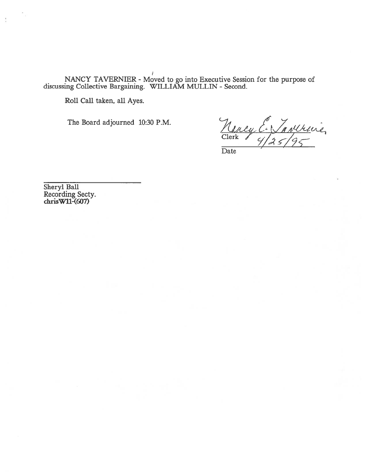NANCY TAVERNIER - Moved to go into Executive Session for the purpose of discussing Collective Bargaining. WILLIAM MULLIN - Second.

Roll Call taken, all Ayes.

The Board adjourned 10:30 P.M.  $M$  $Clerk$ 

Date

Sheryl Ball Recording Secty. chrisWli-(607)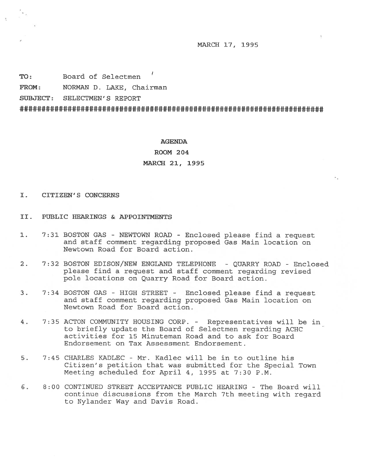#### MARCH 17, 1995

TO: Board of Selectmen

FROM: NORMAN D. LAKE, Chairman

SUBJECT: SELECTMEN'S REPORT

#######################################################

## AGENDA

# ROOM 204 MARCH 21, 1995

- I. CITIZEN'S CONCERNS
- II. PUBLIC HEARINGS & APPOINTMENTS
- 1. 7:31 BOSTON GAS NEWTOWN ROAD Enclosed please find <sup>a</sup> request and staff comment regarding proposed Gas Main location on Newtown Road for Board action.
- 2. 7:32 BOSTON EDISON/NEW ENGLAND TELEPHONE QUARRY ROAD Enclosed please find <sup>a</sup> reques<sup>t</sup> and staff comment regarding revised pole locations on Quarry Road for Board action.
- 3. 7:34 BOSTON GAS HIGH STREET Enclosed please find <sup>a</sup> request and staff comment regarding proposed Gas Main location on Newtown Road for Board action.
- 4. 7:35 ACTON COMMUNITY HOUSING CORP. Representatives will be in to briefly update the Board of Selectmen regarding ACHC activities for 15 Minuteman Road and to ask for Board Endorsement on Tax Assessment Endorsement.
- 5. 7:45 CHARLES KADLEC Mr. Kadlec will be in to outline his Citizen's petition that was submitted for the Special Town Meeting scheduled for April 4, 1995 at 7:30 P.M.
- 6. 8:00 CONTINUED STREET ACCEPTANCE PUBLIC HEARING The Board will continue discussions from the March 7th meeting with regard to Nylander Way and Davis Road.